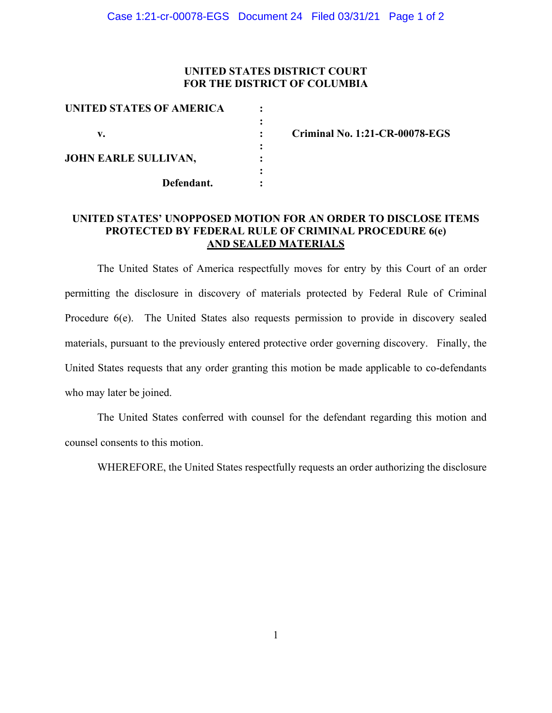## **UNITED STATES DISTRICT COURT FOR THE DISTRICT OF COLUMBIA**

| UNITED STATES OF AMERICA    |  |
|-----------------------------|--|
|                             |  |
| v.                          |  |
|                             |  |
| <b>JOHN EARLE SULLIVAN,</b> |  |
|                             |  |
| Defendant.                  |  |
|                             |  |

**v. : Criminal No. 1:21-CR-00078-EGS** 

# **UNITED STATES' UNOPPOSED MOTION FOR AN ORDER TO DISCLOSE ITEMS PROTECTED BY FEDERAL RULE OF CRIMINAL PROCEDURE 6(e) AND SEALED MATERIALS**

The United States of America respectfully moves for entry by this Court of an order permitting the disclosure in discovery of materials protected by Federal Rule of Criminal Procedure 6(e). The United States also requests permission to provide in discovery sealed materials, pursuant to the previously entered protective order governing discovery. Finally, the United States requests that any order granting this motion be made applicable to co-defendants who may later be joined.

The United States conferred with counsel for the defendant regarding this motion and counsel consents to this motion.

WHEREFORE, the United States respectfully requests an order authorizing the disclosure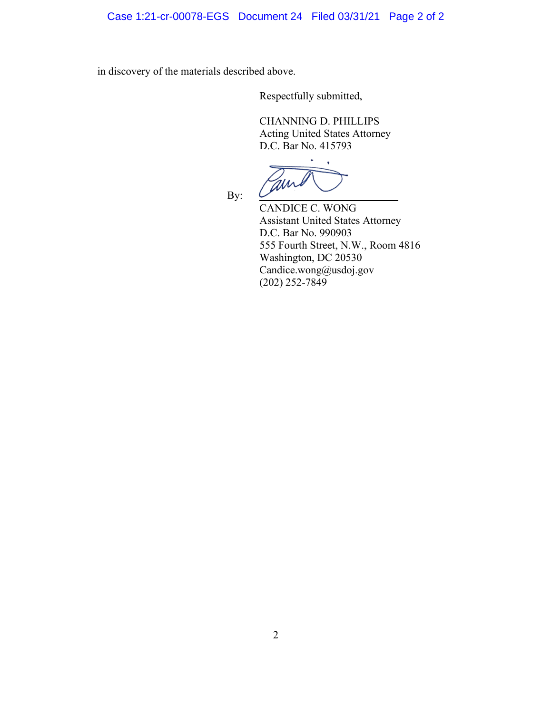in discovery of the materials described above.

Respectfully submitted,

CHANNING D. PHILLIPS Acting United States Attorney D.C. Bar No. 415793

By:

CANDICE C. WONG Assistant United States Attorney D.C. Bar No. 990903 555 Fourth Street, N.W., Room 4816 Washington, DC 20530 Candice.wong@usdoj.gov (202) 252-7849